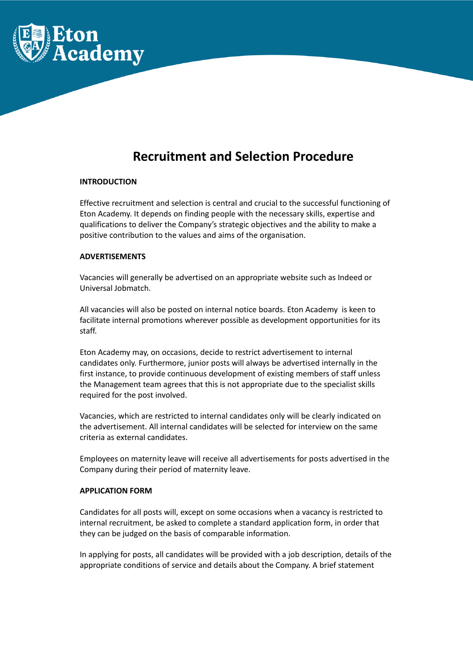

# **Recruitment and Selection Procedure**

## **INTRODUCTION**

Effective recruitment and selection is central and crucial to the successful functioning of Eton Academy. It depends on finding people with the necessary skills, expertise and qualifications to deliver the Company's strategic objectives and the ability to make a positive contribution to the values and aims of the organisation.

#### **ADVERTISEMENTS**

Vacancies will generally be advertised on an appropriate website such as Indeed or Universal Jobmatch.

All vacancies will also be posted on internal notice boards. Eton Academy is keen to facilitate internal promotions wherever possible as development opportunities for its staff.

Eton Academy may, on occasions, decide to restrict advertisement to internal candidates only. Furthermore, junior posts will always be advertised internally in the first instance, to provide continuous development of existing members of staff unless the Management team agrees that this is not appropriate due to the specialist skills required for the post involved.

Vacancies, which are restricted to internal candidates only will be clearly indicated on the advertisement. All internal candidates will be selected for interview on the same criteria as external candidates.

Employees on maternity leave will receive all advertisements for posts advertised in the Company during their period of maternity leave.

## **APPLICATION FORM**

Candidates for all posts will, except on some occasions when a vacancy is restricted to internal recruitment, be asked to complete a standard application form, in order that they can be judged on the basis of comparable information.

In applying for posts, all candidates will be provided with a job description, details of the appropriate conditions of service and details about the Company. A brief statement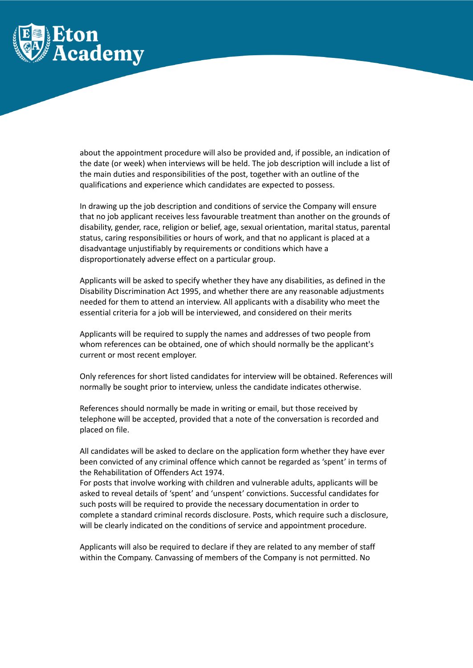

about the appointment procedure will also be provided and, if possible, an indication of the date (or week) when interviews will be held. The job description will include a list of the main duties and responsibilities of the post, together with an outline of the qualifications and experience which candidates are expected to possess.

In drawing up the job description and conditions of service the Company will ensure that no job applicant receives less favourable treatment than another on the grounds of disability, gender, race, religion or belief, age, sexual orientation, marital status, parental status, caring responsibilities or hours of work, and that no applicant is placed at a disadvantage unjustifiably by requirements or conditions which have a disproportionately adverse effect on a particular group.

Applicants will be asked to specify whether they have any disabilities, as defined in the Disability Discrimination Act 1995, and whether there are any reasonable adjustments needed for them to attend an interview. All applicants with a disability who meet the essential criteria for a job will be interviewed, and considered on their merits

Applicants will be required to supply the names and addresses of two people from whom references can be obtained, one of which should normally be the applicant's current or most recent employer.

Only references for short listed candidates for interview will be obtained. References will normally be sought prior to interview, unless the candidate indicates otherwise.

References should normally be made in writing or email, but those received by telephone will be accepted, provided that a note of the conversation is recorded and placed on file.

All candidates will be asked to declare on the application form whether they have ever been convicted of any criminal offence which cannot be regarded as 'spent' in terms of the Rehabilitation of Offenders Act 1974.

For posts that involve working with children and vulnerable adults, applicants will be asked to reveal details of 'spent' and 'unspent' convictions. Successful candidates for such posts will be required to provide the necessary documentation in order to complete a standard criminal records disclosure. Posts, which require such a disclosure, will be clearly indicated on the conditions of service and appointment procedure.

Applicants will also be required to declare if they are related to any member of staff within the Company. Canvassing of members of the Company is not permitted. No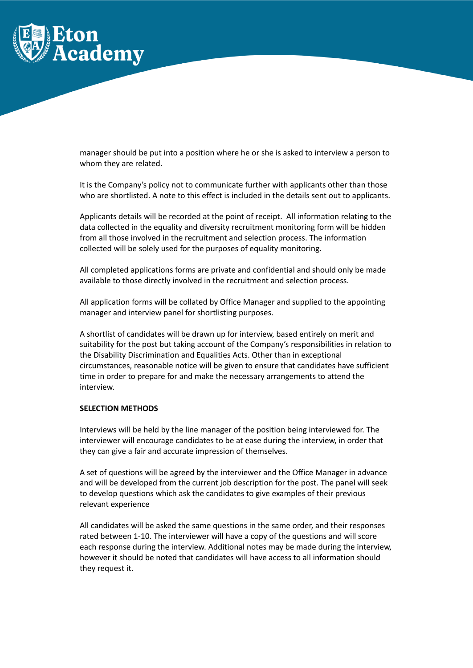

manager should be put into a position where he or she is asked to interview a person to whom they are related.

It is the Company's policy not to communicate further with applicants other than those who are shortlisted. A note to this effect is included in the details sent out to applicants.

Applicants details will be recorded at the point of receipt. All information relating to the data collected in the equality and diversity recruitment monitoring form will be hidden from all those involved in the recruitment and selection process. The information collected will be solely used for the purposes of equality monitoring.

All completed applications forms are private and confidential and should only be made available to those directly involved in the recruitment and selection process.

All application forms will be collated by Office Manager and supplied to the appointing manager and interview panel for shortlisting purposes.

A shortlist of candidates will be drawn up for interview, based entirely on merit and suitability for the post but taking account of the Company's responsibilities in relation to the Disability Discrimination and Equalities Acts. Other than in exceptional circumstances, reasonable notice will be given to ensure that candidates have sufficient time in order to prepare for and make the necessary arrangements to attend the interview.

### **SELECTION METHODS**

Interviews will be held by the line manager of the position being interviewed for. The interviewer will encourage candidates to be at ease during the interview, in order that they can give a fair and accurate impression of themselves.

A set of questions will be agreed by the interviewer and the Office Manager in advance and will be developed from the current job description for the post. The panel will seek to develop questions which ask the candidates to give examples of their previous relevant experience

All candidates will be asked the same questions in the same order, and their responses rated between 1-10. The interviewer will have a copy of the questions and will score each response during the interview. Additional notes may be made during the interview, however it should be noted that candidates will have access to all information should they request it.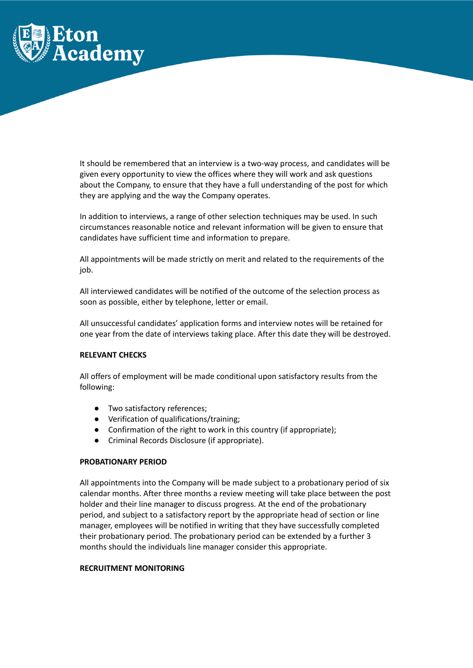

It should be remembered that an interview is a two-way process, and candidates will be given every opportunity to view the offices where they will work and ask questions about the Company, to ensure that they have a full understanding of the post for which they are applying and the way the Company operates.

In addition to interviews, a range of other selection techniques may be used. In such circumstances reasonable notice and relevant information will be given to ensure that candidates have sufficient time and information to prepare.

All appointments will be made strictly on merit and related to the requirements of the job.

All interviewed candidates will be notified of the outcome of the selection process as soon as possible, either by telephone, letter or email.

All unsuccessful candidates' application forms and interview notes will be retained for one year from the date of interviews taking place. After this date they will be destroyed.

# **RELEVANT CHECKS**

All offers of employment will be made conditional upon satisfactory results from the following:

- Two satisfactory references;
- Verification of qualifications/training;
- Confirmation of the right to work in this country (if appropriate);
- Criminal Records Disclosure (if appropriate).

#### **PROBATIONARY PERIOD**

All appointments into the Company will be made subject to a probationary period of six calendar months. After three months a review meeting will take place between the post holder and their line manager to discuss progress. At the end of the probationary period, and subject to a satisfactory report by the appropriate head of section or line manager, employees will be notified in writing that they have successfully completed their probationary period. The probationary period can be extended by a further 3 months should the individuals line manager consider this appropriate.

## **RECRUITMENT MONITORING**